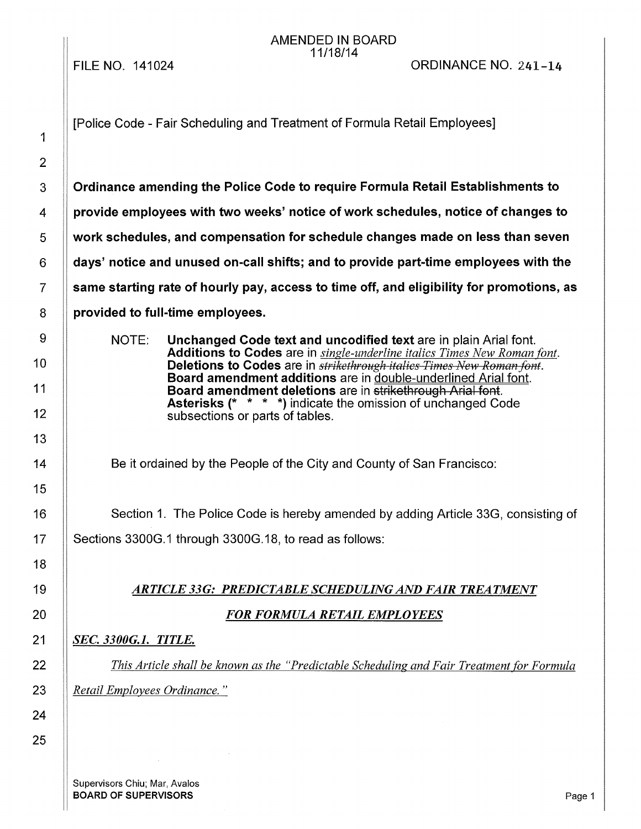FILE NO. 141024

#### AMENDED IN BOARD 11/18/14

| 1              |
|----------------|
| $\overline{2}$ |
| 3              |
| 4              |
| 5              |
| 6              |
| $\overline{7}$ |
| 8              |
| 9              |
| 10             |
| 11             |
| 12             |
| 13             |
| 14             |
| 15             |
| 16             |
| 17             |
| 18             |
| 19             |
| 20             |
| 21             |
| 22             |
| 23             |
| 24             |
| 25             |

[Police Code - Fair Scheduling and Treatment of Formula Retail Employees]

**Ordinance amending the Police Code to require Formula Retail Establishments to provide employees with two weeks' notice of work schedules, notice of changes to work schedules, and compensation for schedule changes made on less than seven days' notice and unused on-call shifts; and to provide part-time employees with the same starting rate of hourly pay, access to time off, and eligibility for promotions, as provided to full-time employees.** 

NOTE: **Unchanged Code text and uncodified text** are in plain Arial font. **Additions to Codes** are in *single-underline italics Times New Roman font.*  **Deletions to Codes** are in *strikethrough italics Times New Roman font.*  **Board amendment additions** are in double-underlined Arial font. **Board amendment deletions** are in strikethrough Arial font. **Asterisks** (\* \* \* \*) indicate the omission of unchanged Code subsections or parts of tables.

Be it ordained by the People of the City and County of San Francisco:

Section 1. The Police Code is hereby amended by adding Article 33G, consisting of Sections 3300G.1 through 3300G.18, to read as follows:

## 19 *ARTICLE 33G: PREDICTABLE SCHEDULING AND FAIR TREATMENT*

#### 20 *FOR FORMULA RETAIL EMPLOYEES*

#### 21 *SEC. 3300G.1. TITLE.*

22 *This Article shall be known as the "Predictable Scheduling and Fair Treatment for Formula*  23 *Retail Employees Ordinance.* "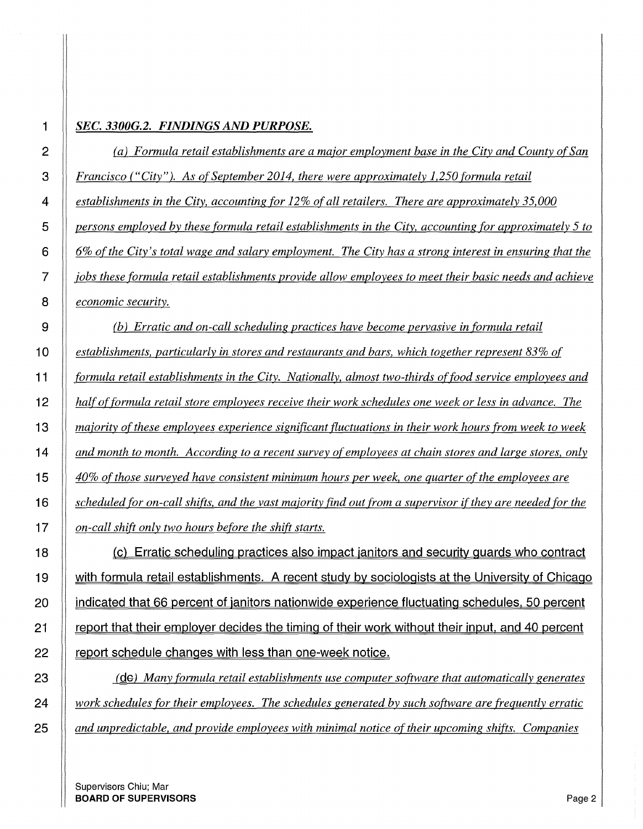#### *SEC. 3300G.2. FINDINGS AND PURPOSE.*

*(a) Formula retail establishments are a major employment base in the City and County of San Francisco ("City"). As ofSeptember 2014, there were approximately 1,250 formula retail establishments in the City, accounting for 12% of all retailers. There are approximately 35,000 persons employed by these formula retail establishments in the City, accounting for approximately 5 to 6% of the City's total wage and salary employment. The City has a strong interest in ensuring that the jobs these formula retail establishments provide allow employees to meet their basic needs and achieve economic security.* 

*(b) Erratic and on-call scheduling practices have become pervasive in formula retail establishments, particularly in stores and restaurants and bars, which together represent 83% of formula retail establishments in the City. Nationally, almost two-thirds of food service employees and half of formula retail store employees receive their work schedules one week or less in advance. The majority of these employees experience significant fluctuations in their work hours from week to week and month to month. According to a recent survey of employees at chain stores and large stores, only 40% of those surveyed have consistent minimum hours per week, one quarter of the employees are scheduled for on-call shifts. and the vast majority find out from a supervisor if they are needed for the on-call shift only two hours before the shift starts.* 

**18 (c) Erratic scheduling practices also impact janitors and security guards who contract 19 with formula retail establishments. A recent study by sociologists at the University of Chicago 20 indicated that 66 percent of janitors nationwide experience fluctuating schedules. 50 percent 21 report that their employer decides the timing of their work without their input. and 40 percent 22 report schedule changes with less than one-week notice.** 

 **(ge)** *Many formula retail establishments use computer software that automatically generates work schedules for their employees. The schedules generated by such software are frequently erratic and unpredictable, and provide employees with minimal notice of their upcoming shifts. Companies*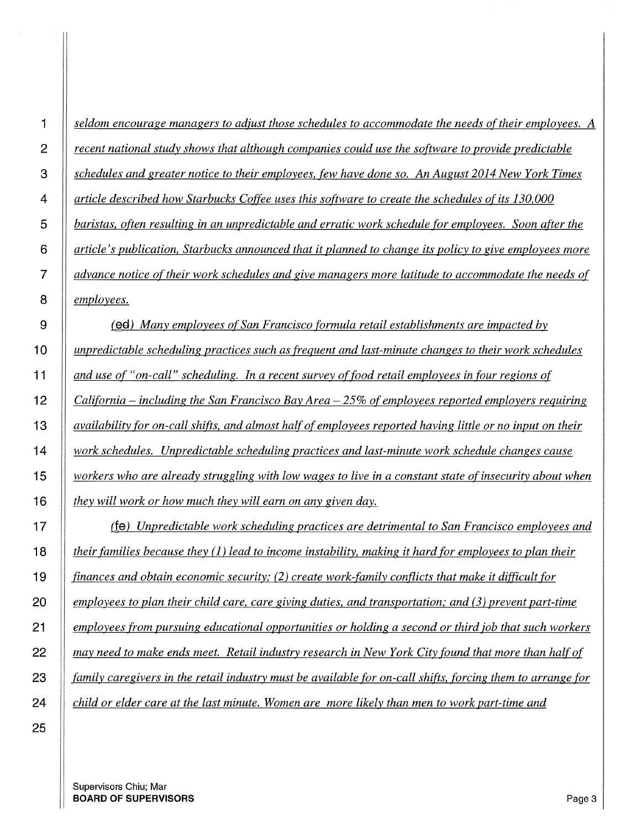*seldom encourage managers to adjust those schedules to accommodate the needs of their employees. A recent national study shows that although companies could use the software to provide predictable schedules and greater notice to their employees, few have done so. An August 2014 New York Times article described how Starbucks Coffee uses this software to create the schedules ofits 130,000 baristas, often resulting in an unpredictable and erratic work schedule for employees. Soon after the article's publication, Starbucks announced that it planned to change its policy to give employees more advance notice of their work schedules and give managers more latitude to accommodate the needs of employees.* 

**(ea)** *Many employees of San Francisco formula retail establishments are impacted by unpredictable scheduling practices such as frequent and last-minute changes to their work schedules and use of "on-call" scheduling. In a recent survey of food retail employees in four regions of California* - *including the San Francisco Bay Area* - 25% *of employees reported employers requiring availability for on-call shifts. and almost half of employees reported having little or no input on their work schedules. Unpredictable scheduling practices and last-minute work schedule changes cause workers who are already struggling with low wages to live in a constant state of insecurity about when they will work or how much they will earn on any given day.* 

**(fe)** *Unpredictable work scheduling practices are detrimental to San Francisco employees and their families because they* (1) *lead to income instability, making it hard for employees to plan their finances and obtain economic security; (2) create work-family conflicts that make it difficult for employees to plan their child care, care giving duties, and transportation,· and (3) prevent part-time employees from pursuing educational opportunities or holding a second or third job that such workers may need to make ends meet. Retail industry research in New York City found that more than half of family caregivers in the retail industry must be available for on-call shifts. forcing them to arrange for child or elder care at the last minute. Women are more likely than men to work part-time and*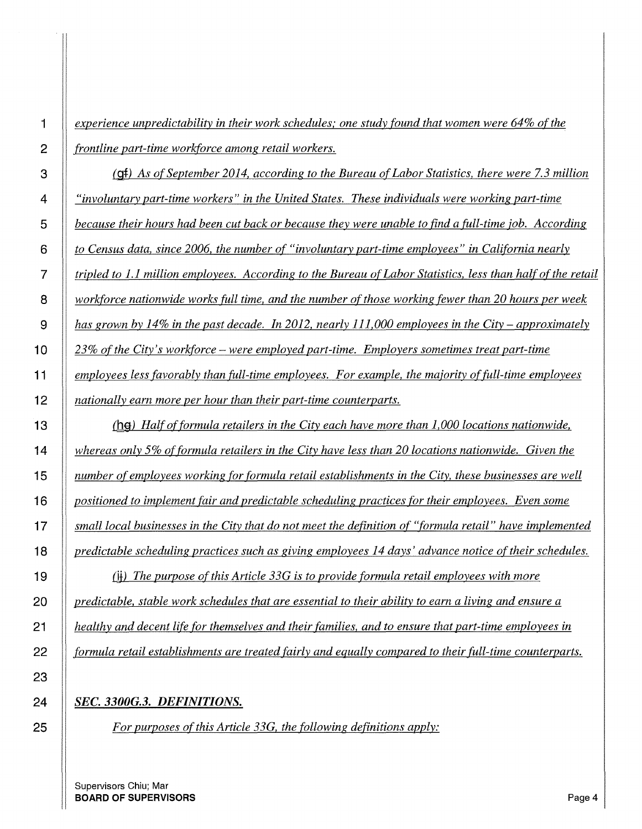*experience unpredictability in their work schedules; one study found that women were 64% of the frontline part-time workforce among retail workers.* 

**(gf)** *As of September 20I4, according to the Bureau of Labor Statistics, there were 7.3 million "involuntary part-time workers" in the United States. These individuals were working part-time because their hours had been cut back or because they were unable to find a full-time job. According to Census data, since 2006, the number of "involuntary part-time employees" in California nearly tripled to I.I million employees. According to the Bureau of Labor Statistics, less than half of the retail workforce nationwide works full time, and the number of those working fewer than 20 hours per week has grown by I4% in the past decade. In 20I2, nearly Ill,000 employees in the City- approximately 23% of the City's workforce -were employed part-time. Employers sometimes treat part-time employees less favorably than full-time employees. For example, the majority of full-time employees nationally earn more per hour than their part-time counterparts.* 

**(hgt)** *Half of formula retailers in the City each have more than I,000 locations nationwide, whereas only 5% of formula retailers in the City have less than 20 locations nationwide. Given the number of employees working for formula retail establishments in the City, these businesses are well positioned to implement fair and predictable scheduling practices for their employees. Even some small local businesses in the City that do not meet the definition of "formula retail" have implemented <i>predictable scheduling practices such as giving employees 14 days' advance notice of their schedules.* 

(jj) *The purpose of this Article 33G is to provide formula retail employees with more predictable, stable work schedules that are essential to their ability to earn a living and ensure a healthy and decent life for themselves and their families, and to ensure that part-time employees in formula retail establishments are treated fairly and equally compared to their full-time counterparts.* 

#### *SEC. 33000.3. DEFINITIONS.*

*For purposes of this Article 33G, the following definitions apply:*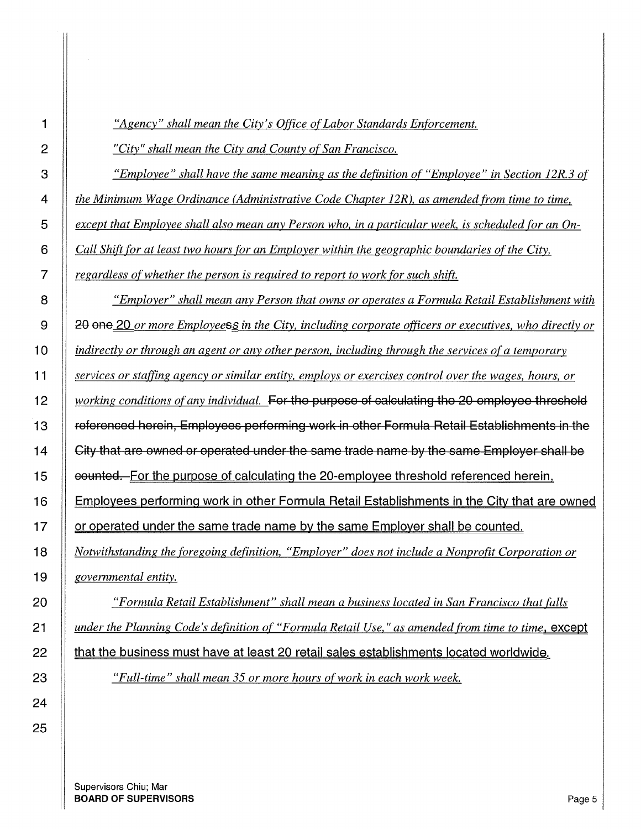*"City" shall mean the City and County of San Francisco. "Employee" shall have the same meaning as the definition of "Employee" in Section 12R.3 of the Minimum Wage Ordinance (Administrative Code Chapter 12R), as amended from time to time, except that Employee shall also mean any Person who, in a particular week, is scheduled for an On-Call Shift for at least two hours for an Employer within the geographic boundaries of the City, regardless of whether the person is required to report to work for such shift. "Employer" shall mean any Person that owns or operates a Formula Retail Establishment with*  9 || 20 one 20 *or more Employeess in the City, including corporate officers or executives, who directly or indirectly or through an agent or any other person, including through the services ofa temporary services or staffing agency or similar entity, employs or exercises control over the wages, hours, or working conditions of any individual.* For the purpose of calculating the 20 employee threshold 13 referenced herein, Employees performing work in other Formula Retail Establishments in the  $\parallel$  City that are owned or operated under the same trade name by the same Employer shall be **counted.** For the purpose of calculating the 20-employee threshold referenced herein, 16 | Employees performing work in other Formula Retail Establishments in the City that are owned **or operated under the same trade name by the same Employer shall be counted.** *Notwithstanding the foregoing definition, "Employer" does not include a Nonprofit Corporation or governmental entity. "Formula Retail Establishment" shall mean a business located in San Francisco that falls* 

 $\parallel$  that the business must have at least 20 retail sales establishments located worldwide.

Supervisors Chiu; Mar **BOARD OF SUPERVISORS** Page 5

# *"Agency" shall mean the City's Office of Labor Standards Enforcement.*

*under the Planning Code's definition of "Formula Retail Use," as amended from time to time, except* 

*"Full-time" shall mean 35 or more hours of work in each work week.*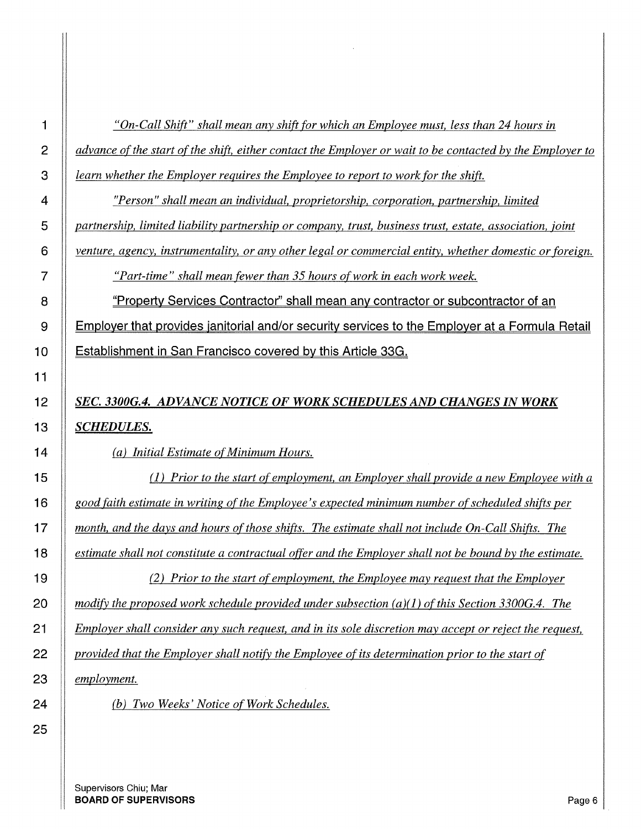*"On-Call Shift" shall mean any shift for which an Employee must, less than 24 hours in advance of the start of the shift, either contact the Employer or wait to be contacted by the Employer to learn whether the Employer requires the Employee to report to work for the shift.* 

*"Person" shall mean an individual, proprietorship, corporation, partnership, limited partnership, limited liability partnership or company, trust, business trust, estate, association, joint* 

*venture, agency, instrumentality, or any other legal or commercial entity, whether domestic or foreign.* 

*"Part-time" shall mean fewer than 35 hours of work in each work week.* 

**8 "Property Services Contractor'' shall mean any contractor or subcontractor of an 9 Employer that provides janitorial and/or security services to the Employer at a Formula Retail 1 O Establishment in San Francisco covered by this Article 33G.** 

# *SEC. 3300G.4. ADVANCE NOTICE OF WORK SCHEDULES AND CHANGES IN WORK SCHEDULES.*

*(a) Initial Estimate of Minimum Hours.* 

(1) *Prior to the start of employment, an Employer shall provide a new Employee with a good faith estimate in writing of the Employee's expected minimum number of scheduled shifts per month, and the days and hours of those shifts. The estimate shall not include On-Call Shifts. The estimate shall not constitute a contractual offer and the Employer shall not be bound by the estimate.* 

*(2) Prior to the start of employment. the Employee may request that the Employer modify the proposed work schedule provided under subsection (a)(l) of this Section 33000.4. The Employer shall consider any such request, and in its sole discretion may accept or reject the request, provided that the Employer shall notify the Employee ofits determination prior to the start of employment.* 

*(b) Two Weeks' Notice of Work Schedules.*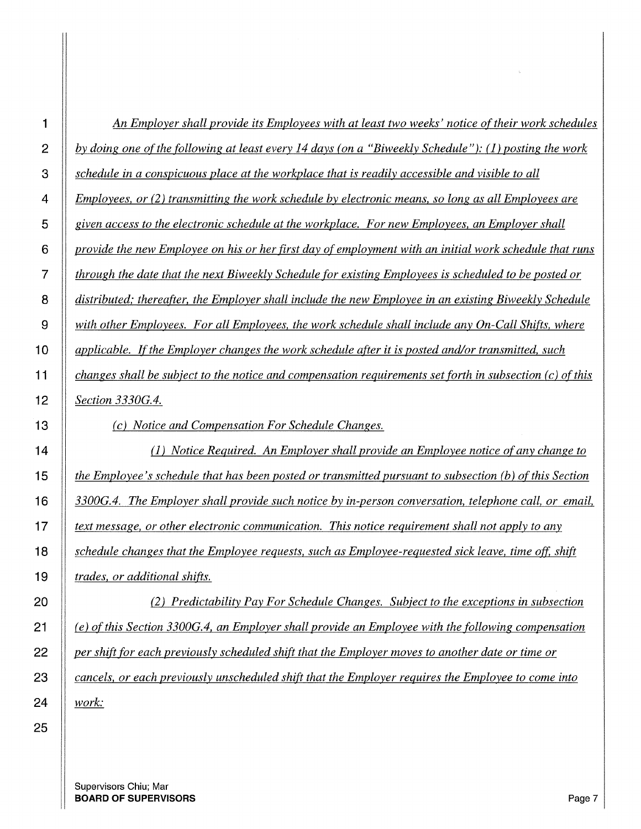| 1              | An Employer shall provide its Employees with at least two weeks' notice of their work schedules                                                                                                                                                                                                                   |
|----------------|-------------------------------------------------------------------------------------------------------------------------------------------------------------------------------------------------------------------------------------------------------------------------------------------------------------------|
| $\overline{2}$ | by doing one of the following at least every 14 days (on a "Biweekly Schedule"): (1) posting the work                                                                                                                                                                                                             |
| 3              | schedule in a conspicuous place at the workplace that is readily accessible and visible to all                                                                                                                                                                                                                    |
| 4              | Employees, or (2) transmitting the work schedule by electronic means, so long as all Employees are                                                                                                                                                                                                                |
| 5              | given access to the electronic schedule at the workplace. For new Employees, an Employer shall                                                                                                                                                                                                                    |
| 6              | provide the new Employee on his or her first day of employment with an initial work schedule that runs                                                                                                                                                                                                            |
| $\overline{7}$ | through the date that the next Biweekly Schedule for existing Employees is scheduled to be posted or                                                                                                                                                                                                              |
| 8              | distributed; thereafter, the Employer shall include the new Employee in an existing Biweekly Schedule                                                                                                                                                                                                             |
| 9              | <u>with other Employees. For all Employees, the work schedule shall include any On-Call Shifts, where</u>                                                                                                                                                                                                         |
| 10             | applicable. If the Employer changes the work schedule after it is posted and/or transmitted, such                                                                                                                                                                                                                 |
| 11             | changes shall be subject to the notice and compensation requirements set forth in subsection $(c)$ of this                                                                                                                                                                                                        |
| 12             | Section 3330G.4.                                                                                                                                                                                                                                                                                                  |
| ה ב            | $\mathcal{L}$ and $\mathcal{M}$ and $\mathcal{L}$ and $\mathcal{L}$ and $\mathcal{L}$ and $\mathcal{L}$ and $\mathcal{L}$ and $\mathcal{L}$ and $\mathcal{L}$ and $\mathcal{L}$ and $\mathcal{L}$ and $\mathcal{L}$ and $\mathcal{L}$ and $\mathcal{L}$ and $\mathcal{L}$ and $\mathcal{L}$ and $\mathcal{L}$ and |

*(c) Notice and Compensation For Schedule Changes.* 

(1) *Notice Required. An Employer shall provide an Employee notice of any change to the Employee's schedule that has been posted or transmitted pursuant to subsection (b) of this Section 3300G.4. The Employer shall provide such notice by in-person conversation, telephone call, or email, text message, or other electronic communication. This notice requirement shall not apply to any schedule changes that the Employee requests, such as Employee-requested sick leave, time off. shift trades, or additional shifts.* 

*(2) Predictability Pay For Schedule Changes. Subject to the exceptions in subsection (e) of this Section 3300G.4, an Employer shall provide an Employee with the following compensation per shift for each previously scheduled shift that the Employer moves to another date or time or cancels, or each previously unscheduled shift that the Employer requires the Employee to come into work:* 

Supervisors Chiu; Mar **BOARD OF SUPERVISORS Page 7**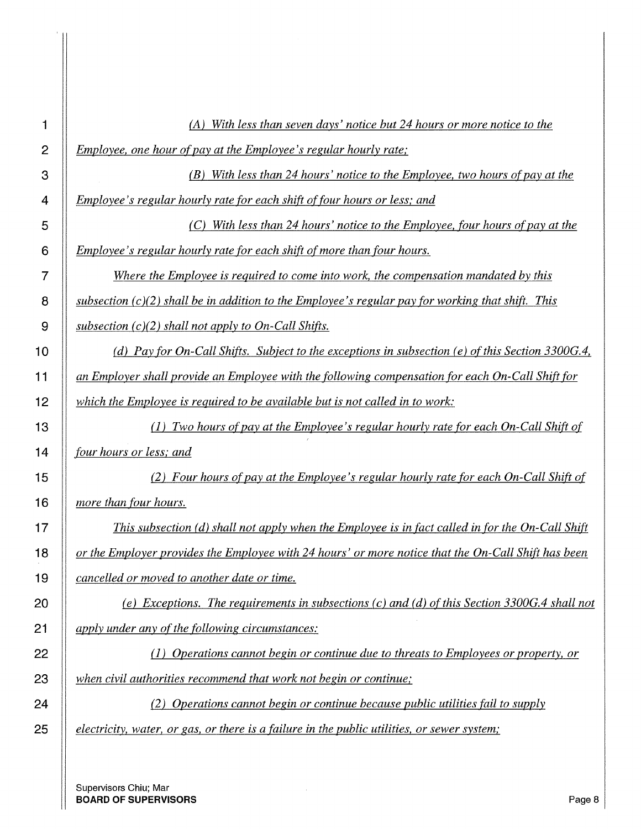| 1              | With less than seven days' notice but 24 hours or more notice to the<br>(A)                         |
|----------------|-----------------------------------------------------------------------------------------------------|
| $\overline{2}$ | <i>Employee, one hour of pay at the Employee's regular hourly rate;</i>                             |
| 3              | With less than 24 hours' notice to the Employee, two hours of pay at the<br>(B)                     |
| 4              | Employee's regular hourly rate for each shift of four hours or less; and                            |
| 5              | With less than 24 hours' notice to the Employee, four hours of pay at the<br>(C)                    |
| 6              | Employee's regular hourly rate for each shift of more than four hours.                              |
| 7              | Where the Employee is required to come into work, the compensation mandated by this                 |
| 8              | subsection $(c)(2)$ shall be in addition to the Employee's regular pay for working that shift. This |
| 9              | subsection $(c)(2)$ shall not apply to On-Call Shifts.                                              |
| 10             | (d) Pay for On-Call Shifts. Subject to the exceptions in subsection (e) of this Section 3300G.4,    |
| 11             | an Employer shall provide an Employee with the following compensation for each On-Call Shift for    |
| 12             | which the Employee is required to be available but is not called in to work:                        |
| 13             | (1) Two hours of pay at the Employee's regular hourly rate for each On-Call Shift of                |
| 14             | four hours or less; and                                                                             |
| 15             | (2) Four hours of pay at the Employee's regular hourly rate for each On-Call Shift of               |
|                |                                                                                                     |
| 16             | more than four hours.                                                                               |
| 17             | This subsection $(d)$ shall not apply when the Employee is in fact called in for the On-Call Shift  |
|                | or the Employer provides the Employee with 24 hours' or more notice that the On-Call Shift has been |
|                | cancelled or moved to another date or time.                                                         |
| 18<br>19<br>20 | (e) Exceptions. The requirements in subsections (c) and (d) of this Section 3300G.4 shall not       |
| 21             | apply under any of the following circumstances:                                                     |
| 22             | (1) Operations cannot begin or continue due to threats to Employees or property, or                 |
| 23             | when civil authorities recommend that work not begin or continue;                                   |
| 24             | (2) Operations cannot begin or continue because public utilities fail to supply                     |
| 25             | electricity, water, or gas, or there is a failure in the public utilities, or sewer system;         |

 $\hat{\mathcal{A}}$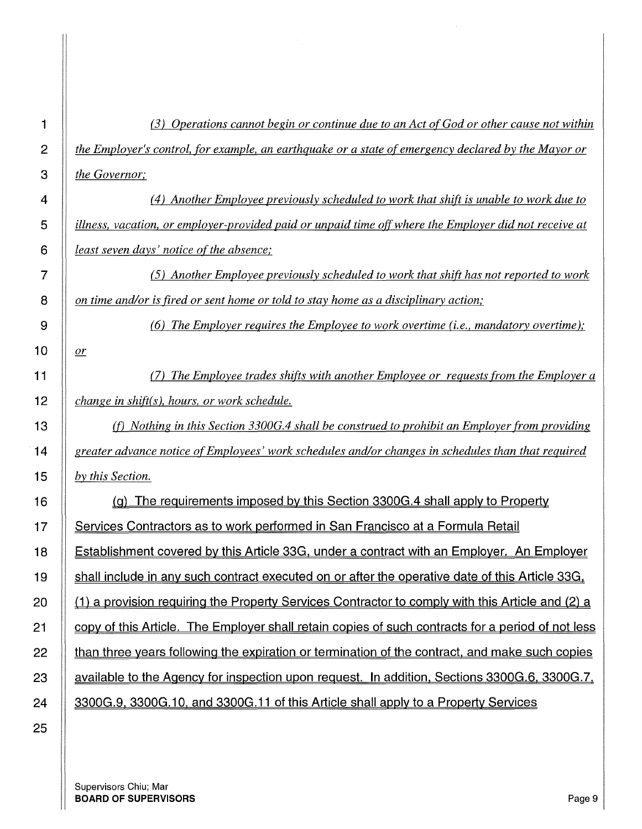*(3) Operations cannot begin or continue due to an Act of God or other cause not within the Employer's control, for example, an earthquake or a state of emergency declared by the Mayor or the Governor;* 

*( 4) Another Employee previously scheduled to work that shift is unable to work due to illness, vacation, or employer-provided paid or unpaid time off where the Employer did not receive at least seven days' notice of the absence;* 

(5) *Another Employee previously scheduled to work that shift has not reported to work on time and/or is fired or sent home or told to stay home as a disciplinary action;* 

(6) *The Employer requires the Employee to work overtime (i.e., mandatory overtime);* 

*(7) The Employee trades shifts with another Employee or requests from the Employer a change in shift(s ), hours, or work schedule.* 

(f) *Nothing in this Section 3300G.4 shall be construed to prohibit an Employer from providing greater advance notice of Employees' work schedules and/or changes in schedules than that required by this Section.* 

16 (g) The requirements imposed by this Section 3300G.4 shall apply to Property 17 Services Contractors as to work performed in San Francisco at a Formula Retail 18 Establishment covered by this Article 33G. under a contract with an Employer. An Employer 19 shall include in any such contract executed on or after the operative date of this Article 33G. 20  $\parallel$  (1) a provision requiring the Property Services Contractor to comply with this Article and (2) a **copy of this Article. The Employer shall retain copies of such contracts for a period of not less than three years following the expiration or termination of the contract, and make such copies** 23 available to the Agency for inspection upon request. In addition, Sections 3300G.6, 3300G.7, |  $3300$ G.9, 3300G.10, and 3300G.11 of this Article shall apply to a Property Services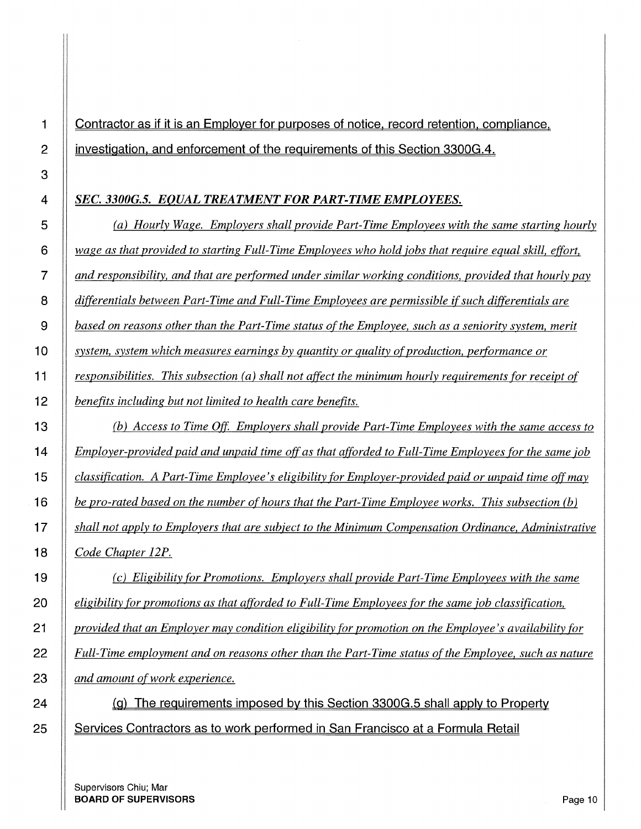# **1 Contractor as if it is an Employer for purposes of notice. record retention. compliance. 2 investigation. and enforcement of the requirements of this Section 3300G.4.**

#### *SEC. 3300G.5. EQUAL TREATMENT FOR PART-TIME EMPLOYEES.*

*(a) Hourly Wage. Employers shall provide Part-Time Employees with the same starting hourly wage as that provided to starting Full-Time Employees who hold fobs that require equal skill, effort, and responsibility, and that are performed under similar working conditions, provided that hourly pay differentials between Part-Time and Full-Time Employees are permissible if such differentials are based on reasons other than the Part-Time status of the Employee, such as a seniority system, merit system, system which measures earnings by quantity or quality of production, performance or responsibilities. This subsection (a) shall not affect the minimum hourly requirements for receipt of benefits including but not limited to health care benefits. (b) Access to Time* Off. *Employers shall provide Part-Time Employees with the same access to Employer-provided paid and unpaid time off as that afforded to Full-Time Employees for the same job classification. A Part-Time Employee's eligibility for Employer-provided paid or unpaid time off may* 

*be pro-rated based on the number of hours that the Part-Time Employee works. This subsection (b) shall not apply to Employers that are subject to the Minimum Compensation Ordinance, Administrative Code Chapter 12P.* 

*(c) Eligibility for Promotions. Employers shall provide Part-Time Employees with the same eligibility for promotions as that afforded to Full-Time Employees for the same job classification, provided that an Employer may condition eligibility for promotion on the Employee's availability for Full-Time employment and on reasons other than the Part-Time status of the Employee, such as nature and amount of work experience.* 

**24 (g) The requirements imposed by this Section 3300G.5 shall apply to Property 25 Services Contractors as to work performed in San Francisco at a Formula Retail**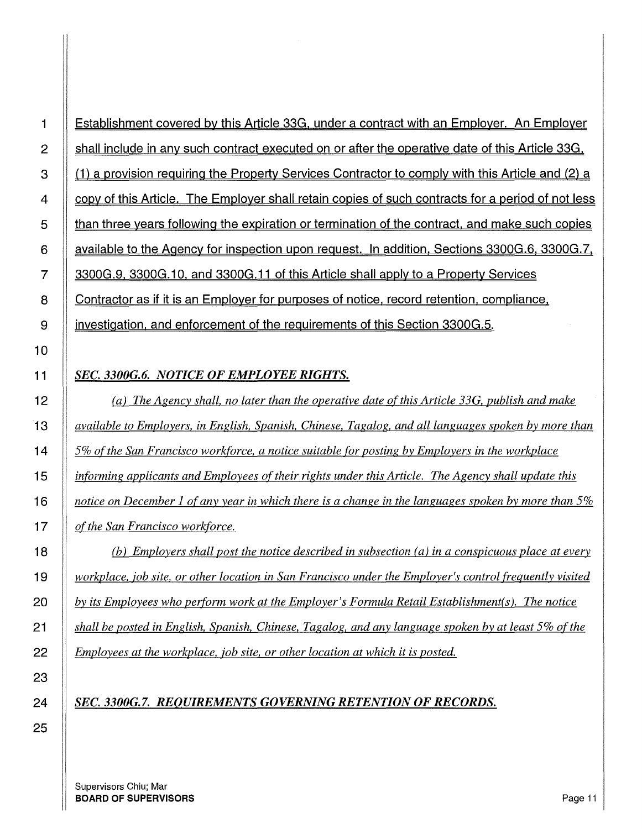1 Establishment covered by this Article 33G, under a contract with an Employer. An Employer  $2 \parallel$  shall include in any such contract executed on or after the operative date of this Article 33G, 3 (1) a provision requiring the Property Services Contractor to comply with this Article and (2) a **Follow** of this Article. The Employer shall retain copies of such contracts for a period of not less **than three years following the expiration or termination of the contract, and make such copies** 6 available to the Agency for inspection upon request. In addition, Sections 3300G.6, 3300G.7, 7 3300G.9. 3300G.10, and 3300G.11 of this Article shall apply to a Property Services 8 Contractor as if it is an Employer for purposes of notice, record retention, compliance, 9 | investigation, and enforcement of the requirements of this Section 3300G.5.

#### *SEC. 3300G.6. NOTICE OF EMPLOYEE RIGHTS.*

*(a) The Agency shall, no later than the operative date of this Article 33G, publish and make available to Employers, in English, Spanish, Chinese, Tagalog, and all languages spoken by more than 5% of the San Francisco workforce, a notice suitable for posting by Employers in the workplace informing applicants and Employees of their rights under this Article. The Agency shall update this notice on December 1 of any year in which there is a change in the languages spoken by more than 5% of the San Francisco workforce.* 

*(b) Employers shall post the notice described in subsection (a) in a conspicuous place at every workplace, job site, or other location in San Francisco under the Employer's control frequently visited by its Employees who perform work at the Employer's Formula Retail Establishment(s ). The notice shall be posted in English, Spanish, Chinese, Tagalog, and any language spoken by at least 5% of the Employees at the workplace, job site, or other location at which it is posted.* 

#### *SEC. 3300G.7. REQUIREMENTS GOVERNING RETENTION OF RECORDS.*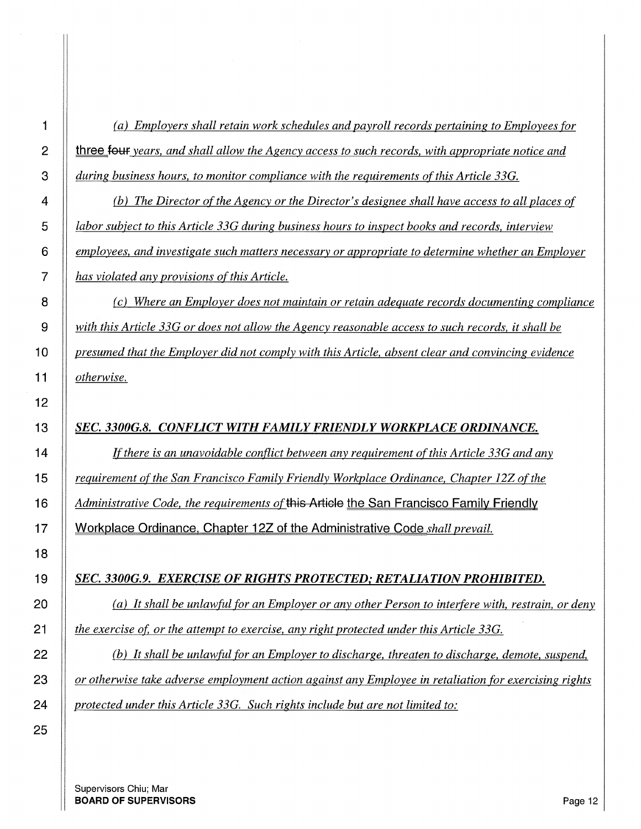*(a) Employers shall retain work schedules and payroll records pertaining to Employees for*  **three four** years, and shall allow the Agency access to such records, with appropriate notice and *during business hours, to monitor compliance with the requirements ofthis Article 33G.* 

*(b) The Director of the Agency or the Director's designee shall have access to all places of labor subject to this Article 33G during business hours to inspect books and records, interview employees, and investigate such matters necessary or appropriate to determine whether an Employer has violated any provisions of this Article.* 

*(c) Where an Employer does not maintain or retain adequate records documenting compliance with this Article 33G or does not allow the Agency reasonable access to such records, it shall be presumed that the Employer did not comply with this Article, absent clear and convincing evidence otherwise.* 

#### *SEC. 3300G.8. CONFLICT WITH FAMILY FRIENDLY WORKPIACE ORDINANCE.*

If *there is an unavoidable conflict between any requirement of this Article 33G and any requirement of the San Francisco Family Friendly Workplace Ordinance, Chapter 12Z of the Administrative Code, the requirements* **ofthis Article the San Francisco Family Friendly 17 Workplace Ordinance. Chapter 12Z of the Administrative Code** *shall prevail.* 

#### *SEC. 3300G.9. EXERCISE OF RIGHTS PROTECTED,· RETALIATION PROHIBITED.*

*(a) It shall be unlawful for an Employer or any other Person to interfere with, restrain, or deny the exercise of, or the attempt to exercise, any right protected under this Article 33G.* 

*(b) It shall be unlawful for an Employer to discharge, threaten to discharge, demote, suspend, or otherwise take adverse employment action against any Employee in retaliation for exercising rights protected under this Article 33G. Such rights include but are not limited to:*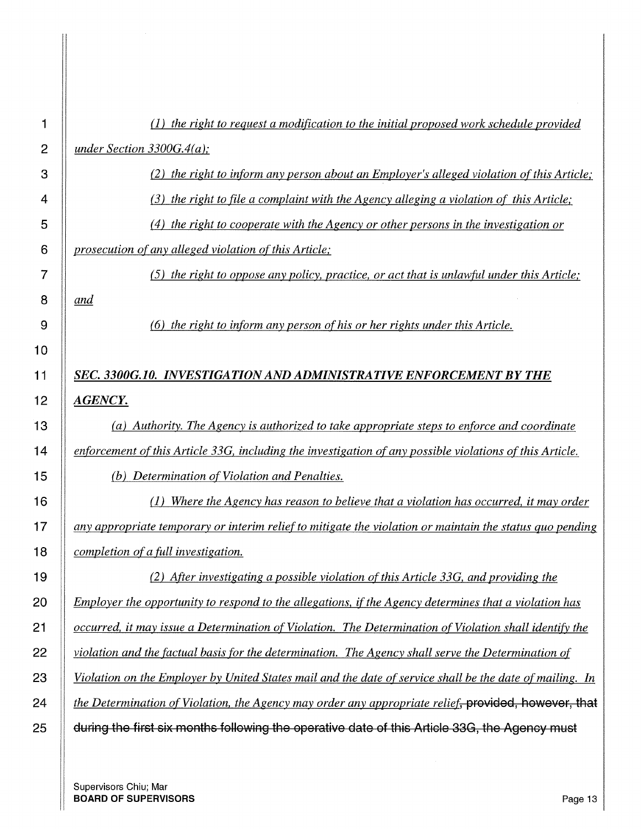| 1              | (1) the right to request a modification to the initial proposed work schedule provided                   |
|----------------|----------------------------------------------------------------------------------------------------------|
| $\overline{c}$ | under Section 3300G.4(a);                                                                                |
| 3              | (2) the right to inform any person about an Employer's alleged violation of this Article;                |
| 4              | $(3)$ the right to file a complaint with the Agency alleging a violation of this Article;                |
| 5              | $(4)$ the right to cooperate with the Agency or other persons in the investigation or                    |
| 6              | prosecution of any alleged violation of this Article;                                                    |
| $\overline{7}$ | (5) the right to oppose any policy, practice, or act that is unlawful under this Article;                |
| 8              | and                                                                                                      |
| 9              | (6) the right to inform any person of his or her rights under this Article.                              |
| 10             |                                                                                                          |
| 11             | SEC. 3300G.10. INVESTIGATION AND ADMINISTRATIVE ENFORCEMENT BY THE                                       |
| 12             | <b>AGENCY.</b>                                                                                           |
| 13             | (a) Authority. The Agency is authorized to take appropriate steps to enforce and coordinate              |
| 14             | enforcement of this Article 33G, including the investigation of any possible violations of this Article. |
| 15             | (b) Determination of Violation and Penalties.                                                            |
| 16             | Where the Agency has reason to believe that a violation has occurred, it may order                       |
| 17             | any appropriate temporary or interim relief to mitigate the violation or maintain the status quo pending |
| 18             | completion of a full investigation.                                                                      |
| 19             | (2) After investigating a possible violation of this Article 33G, and providing the                      |
| 20             | Employer the opportunity to respond to the allegations, if the Agency determines that a violation has    |
| 21             | occurred, it may issue a Determination of Violation. The Determination of Violation shall identify the   |
| 22             | violation and the factual basis for the determination. The Agency shall serve the Determination of       |
| 23             | Violation on the Employer by United States mail and the date of service shall be the date of mailing. In |
| 24             | the Determination of Violation, the Agency may order any appropriate relief, provided, however, that     |
| 25             | during the first six months following the operative date of this Article 33G, the Agency must            |
|                |                                                                                                          |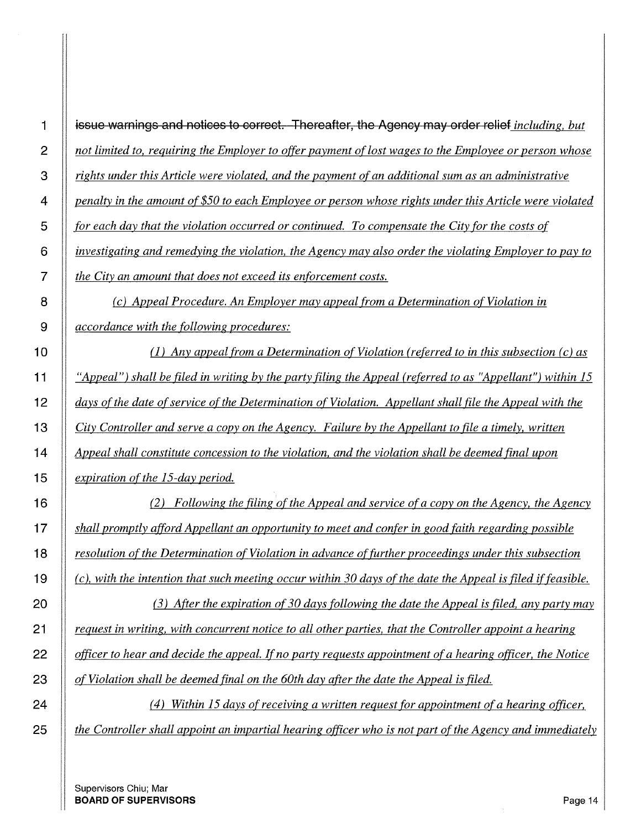| 1              | issue warnings and notices to correct. Thereafter, the Agency may order relief including, but                  |
|----------------|----------------------------------------------------------------------------------------------------------------|
| $\overline{c}$ | not limited to, requiring the Employer to offer payment of lost wages to the Employee or person whose          |
| 3              | rights under this Article were violated, and the payment of an additional sum as an administrative             |
| 4              | penalty in the amount of \$50 to each Employee or person whose rights under this Article were violated         |
| 5              | for each day that the violation occurred or continued. To compensate the City for the costs of                 |
| 6              | investigating and remedying the violation, the Agency may also order the violating Employer to pay to          |
| 7              | the City an amount that does not exceed its enforcement costs.                                                 |
| 8              | (c) Appeal Procedure. An Employer may appeal from a Determination of Violation in                              |
| 9              | <i>accordance with the following procedures:</i>                                                               |
| 10             | (1) Any appeal from a Determination of Violation (referred to in this subsection $(c)$ as                      |
| 11             | "Appeal") shall be filed in writing by the party filing the Appeal (referred to as "Appellant") within 15      |
| 12             | days of the date of service of the Determination of Violation. Appellant shall file the Appeal with the        |
| 13             | City Controller and serve a copy on the Agency. Failure by the Appellant to file a timely, written             |
| 14             | Appeal shall constitute concession to the violation, and the violation shall be deemed final upon              |
| 15             | expiration of the 15-day period.                                                                               |
| 16             | (2) Following the filing of the Appeal and service of a copy on the Agency, the Agency                         |
| 17             | shall promptly afford Appellant an opportunity to meet and confer in good faith regarding possible             |
| 18             | resolution of the Determination of Violation in advance of further proceedings under this subsection           |
| 19             | $(c)$ , with the intention that such meeting occur within 30 days of the date the Appeal is filed if feasible. |
| 20             | $(3)$ After the expiration of 30 days following the date the Appeal is filed, any party may                    |
| 21             | request in writing, with concurrent notice to all other parties, that the Controller appoint a hearing         |
| 22             | officer to hear and decide the appeal. If no party requests appointment of a hearing officer, the Notice       |
| 23             | of Violation shall be deemed final on the 60th day after the date the Appeal is filed.                         |
| 24             | Within 15 days of receiving a written request for appointment of a hearing officer,<br>(4)                     |

*the Controller shall appoint an impartial hearing officer who is not part of the Agency and immediately*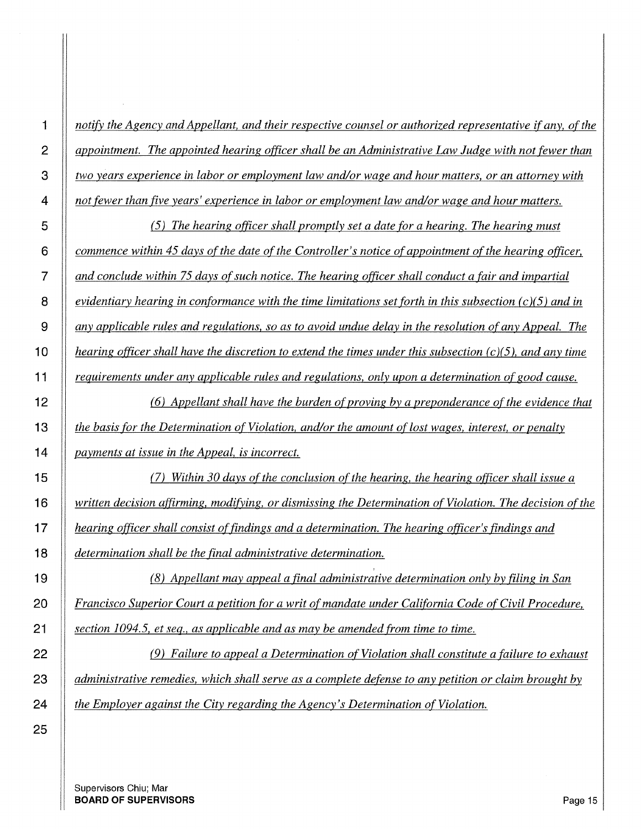*notify the Agency and Appellant, and their respective counsel or authorized representative if any, of the appointment. The appointed hearing officer shall be an Administrative Law Judge with not fewer than two years experience in labor or employment law and/or wage and hour matters, or an attorney with not fewer than five years' experience in labor or employment law and/or wage and hour matters.* 

*(5) The hearing officer shall promptly set a date for a hearing. The hearing must commence within 45 days of the date of the Controller's notice of appointment of the hearing officer, and conclude within 75 days of such notice. The hearing officer shall conduct a fair and impartial evidentiary hearing in conformance with the time limitations set forth in this subsection (c )(5) and in any applicable rules and regulations, so as to avoid undue delay in the resolution of any Appeal. The hearing officer shall have the discretion to extend the times under this subsection (c )(5 ), and any time requirements under any applicable rules and regulations, only upon a determination of good cause.* 

*(6) Appellant shall have the burden of proving by a preponderance of the evidence that the basis for the Determination of Violation, and/or the amount of lost wages, interest, or penalty payments at issue in the Appeal, is incorrect.* 

*(7) Within 30 days ofthe conclusion of the hearing, the hearing officer shall issue a written decision affirming, modifying, or dismissing the Determination of Violation. The decision of the hearing officer shall consist of findings and a determination. The hearing officer's findings and determination shall be the final administrative determination.* 

,

*(8) Appellant may appeal a final administrative determination only by filing in San Francisco Superior Court a petition for a writ of mandate under California Code of Civil Procedure, section 1094.5, et seq., as applicable and as may be amended from time to time.* 

*(9) Failure to appeal a Determination of Violation shall constitute a failure to exhaust administrative remedies, which shall serve as a complete defense to any petition or claim brought by the Employer against the City regarding the Agency's Determination of Violation.*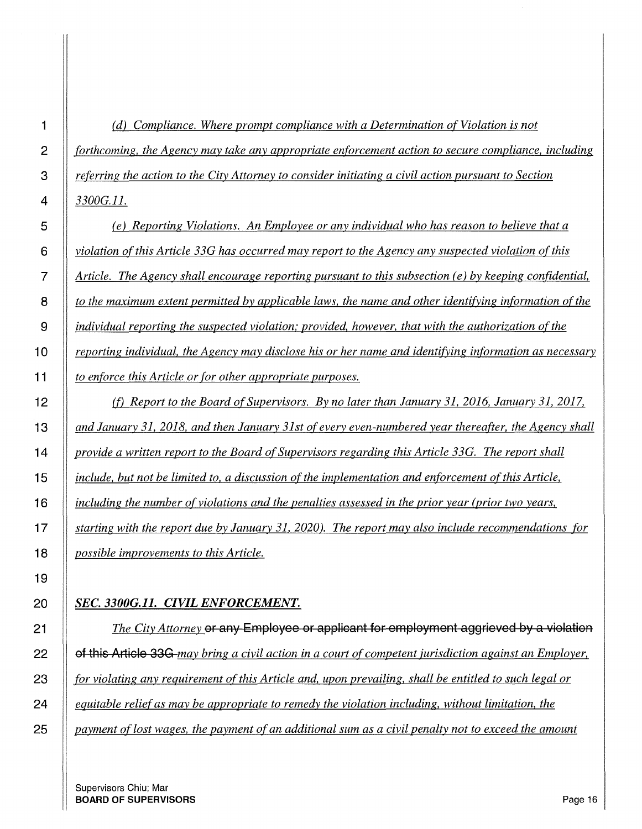*(d) Compliance. Where prompt compliance with a Determination of Violation is not forthcoming, the Agency may take any appropriate enforcement action to secure compliance, including referring the action to the City Attorney to consider initiating a civil action pursuant to Section 3300G.ll.* 

*(e) Reporting Violations. An Employee or any individual who has reason to believe that a violation of this Article 33G has occurred may report to the Agency any suspected violation of this Article. The Agency shall encourage reporting pursuant to this subsection (e) by keeping confidential, to the maximum extent permitted by applicable laws, the name and other identifying information of the individual reporting the suspected violation; provided, however, that with the authorization ofthe*  **1 0** *reporting individual, the Agency may disclose his or her name and identifying information as necessary to enforce this Article or for other appropriate purposes.* 

*Cf) Report to the Board of Supervisors. By no later than January 31, 2016, January 31, 2017, and January 31, 2018, and then January 31st of every even-numbered year thereafter, the Agency shall provide a written report to the Board of Supervisors regarding this Article 33G. The report shall include, but not be limited to, a discussion of the implementation and enforcement of this Article, including the number of violations and the penalties assessed in the prior year (prior two years, starting with the report due by January 31, 2020). The report may also include recommendations for possible improvements to this Article.* 

#### *SEC. 3300G.11. CIVIL ENFORCEMENT.*

*The City Attorney* **or any Employee or applicant for employment aggrieved by a violation 22 of this Article 33G** *may bring a civil action in a court of competent jurisdiction against an Employer, for violating any requirement of this Article and, upon prevailing, shall be entitled to such legal or equitable relief as may be appropriate to remedy the violation including, without limitation, the payment of lost wages, the payment of an additional sum as a civil penalty not to exceed the amount*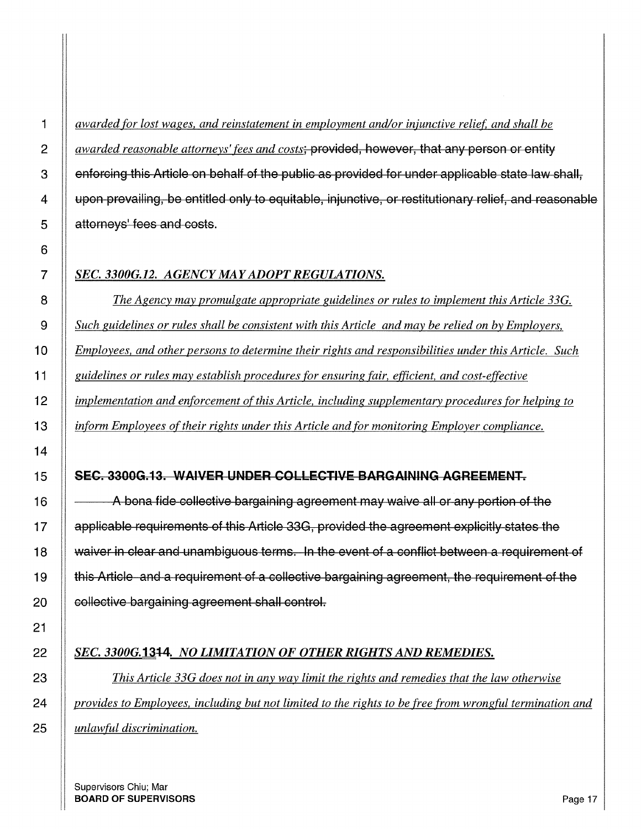1 || awarded for lost wages, and reinstatement in employment and/or injunctive relief, and shall be *awarded reasonable attorneys' fees and costs*; provided, however, that any person or entity  $\parallel$  enforcing this Article on behalf of the public as provided for under applicable state law shall, 4 upon prevailing, be entitled only to equitable, injunctive, or restitutionary relief, and reasonable **S** attorneys' fees and costs.

#### *SEC. 3300G.12. AGENCY MAY ADOPT REGULATIONS.*

*The Agency may promulgate appropriate guidelines or rules to implement this Article 33G. Such guidelines or rules shall be consistent with this Article and may be relied on by Employers, Employees, and other persons to determine their rights and responsibilities under this Article. Such guidelines or rules may establish procedures for ensuring fair, efficient, and cost-effective implementation and enforcement of this Article, including supplementary procedures for helping to inform Employees of their rights under this Article and for monitoring Employer compliance.* 

#### 15 SEC. 3300G.13. WAIVER UNDER COLLECTIVE BARGAINING AGREEMENT.

 $\parallel$   $\sim$  A bona fide collective bargaining agreement may waive all or any portion of the 17 | applicable requirements of this Article 33G, provided the agreement explicitly states the 18 | waiver in clear and unambiguous terms. In the event of a conflict between a requirement of 19 this Article and a requirement of a collective bargaining agreement, the requirement of the **collective bargaining agreement shall control.** 

#### **SEC. 3300G.1344. NO LIMITATION OF OTHER RIGHTS AND REMEDIES.**

*This Article 33G does not in any way limit the rights and remedies that the law otherwise*  24 *provides to Employees, including <u>but not limited to the rights to be free from wrongful termination and</u> unlawful discrimination.*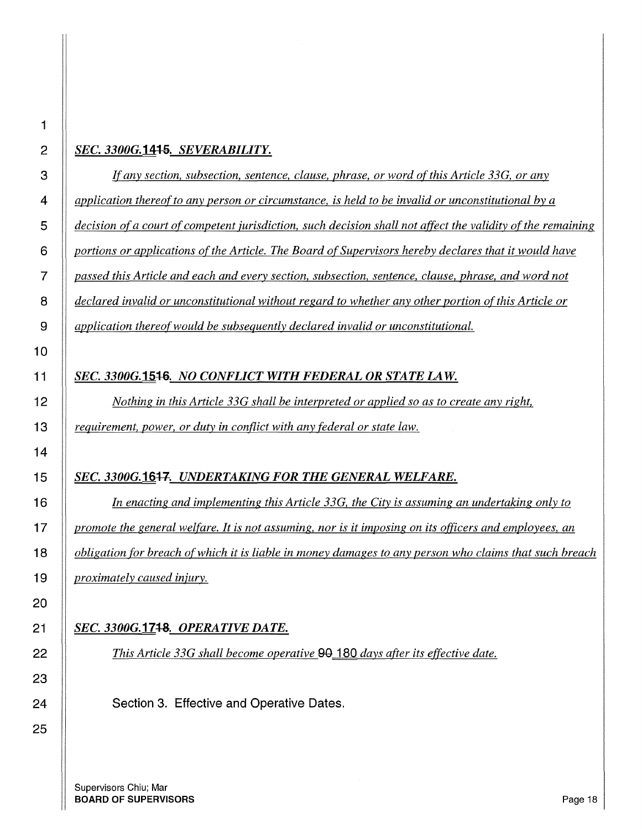#### *SEC. 33006.14-1-S. SEVERABILITY.*

*If any section, subsection, sentence, clause, phrase, or word of this Article 33G, or any application thereof to any person or circumstance, is held to be invalid or unconstitutional by a decision ofa court of competent jurisdiction, such decision shall not affect the validity of the remaining portions or applications of the Article. The Board of Supervisors hereby declares that it would have passed this Article and each and every section, subsection, sentence, clause, phrase, and word not declared invalid or unconstitutional without regard to whether any other portion of this Article or application thereof would be subsequently declared invalid or unconstitutional.* 

#### *SEC. 3300G.1546. NO CONFLICT WITH FEDERAL OR STATE LAW.*

*Nothing in this Article 33G shall be interpreted or applied so as to create any right, requirement, power, or duty in conflict with any federal or state law.* 

#### *SEC. 3300G.1647. UNDERTAKING FOR THE GENERAL WELFARE.*

*In enacting and implementing this Article 33G, the City is assuming an undertaking only to promote the general welfare. It is not assuming, nor is it imposing on its officers and employees, an obligation for breach of which it is liable in money damages to any person who claims that such breach proximately caused injury.* 

#### *SEC. 33006.17+8. OPERATIVE DATE.*

*This Article 33G shall become operative* **00 180** *days after its effective date.* 

**Section 3. Effective and Operative Dates.**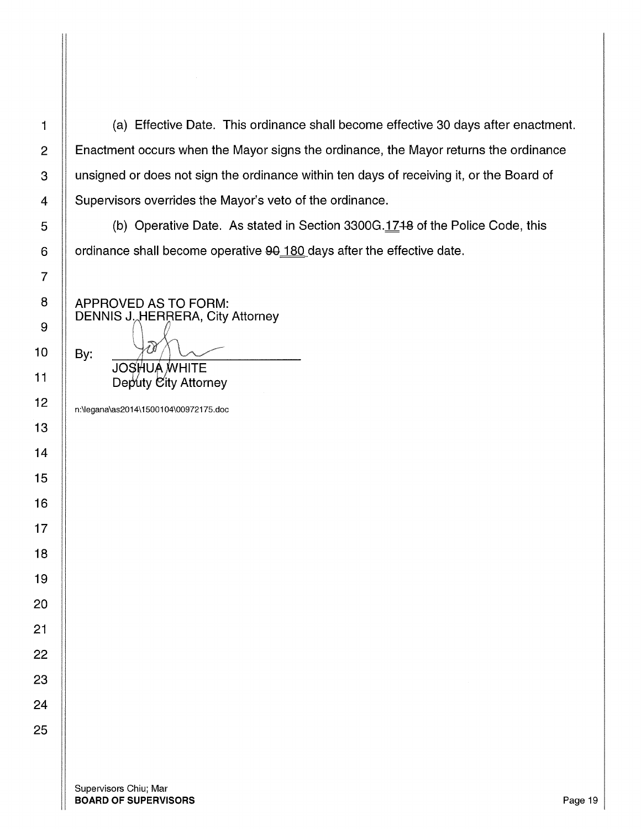1 | (a) Effective Date. This ordinance shall become effective 30 days after enactment. 2 | Enactment occurs when the Mayor signs the ordinance, the Mayor returns the ordinance 3 | unsigned or does not sign the ordinance within ten days of receiving it, or the Board of 4 | Supervisors overrides the Mayor's veto of the ordinance.

  $\parallel$  (b) Operative Date. As stated in Section 3300G.1748 of the Police Code, this 6  $\parallel$  ordinance shall become operative  $90$  180 days after the effective date.

APPROVED AS TO FORM: DENNIS J. HERRERA, City Attorney By: **JOSHUA WHITE** 

Deputy City Attorney

n:\legana\as2014\ 1500104\00972175.doc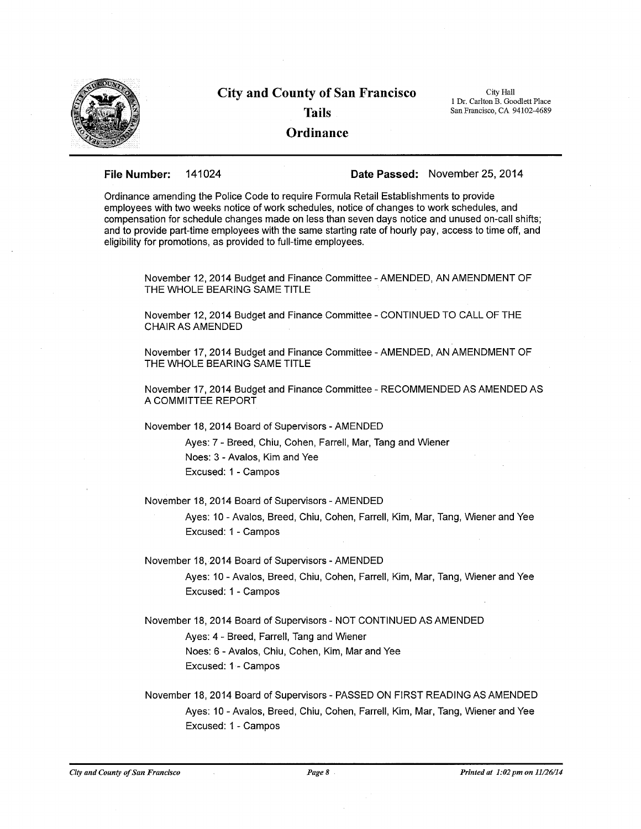

### **City and County of San Francisco Tails Ordinance**

City Hall 1 Dr. Carlton B. Goodlett Place San Francisco, CA 94102-4689

**File Number:** 141024 **Date Passed:** November 25, 2014

Ordinance amending the Police Code to require Formula Retail Establishments to provide employees with two weeks notice of work schedules, notice of changes to work schedules, and compensation for schedule changes made on less than seven days notice and unused on-call shifts; and to provide part-time employees with the same starting rate of hourly pay, access to time off, and eligibility for promotions, as provided to full-time employees.

November 12, 2014 Budget and Finance Committee -AMENDED, AN AMENDMENT OF THE WHOLE BEARING SAME TITLE

November 12, 2014 Budget and Finance Committee - CONTINUED TO CALL OF THE CHAIR AS AMENDED

November 17, 2014 Budget and Finance Committee -AMENDED, AN AMENDMENT OF THE WHOLE BEARING SAME TITLE

November 17, 2014 Budget and Finance Committee - RECOMMENDED AS AMENDED AS A COMMITTEE REPORT

November 18, 2014 Board of Supervisors-AMENDED

Ayes: 7 - Breed, Chiu, Cohen, Farrell, Mar, Tang and Wiener Noes: 3 - Avalos, Kim and Yee Excused: 1 - Campos

November 18, 2014 Board of Supervisors -AMENDED

Ayes: 10 - Avalos, Breed, Chiu, Cohen, Farrell, Kim, Mar, Tang, Wiener and Yee Excused: 1 - Campos

November 18, 2014 Board of Supervisors - AMENDED

Ayes: 10 - Avalos, Breed, Chiu, Cohen, Farrell, Kim, Mar, Tang, Wiener and Yee Excused: 1 - Campos

November 18, 2014 Board of Supervisors - NOT CONTINUED AS AMENDED

Ayes: 4 - Breed, Farrell, Tang and Wiener

Noes: 6 - Avalos, Chiu, Cohen, Kim, Mar and Yee Excused: 1 - Campos

November 18, 2014 Board of Supervisors - PASSED ON FIRST READING AS AMENDED Ayes: 10 - Avalos, Breed, Chiu, Cohen, Farrell, Kim, Mar, Tang, Wiener and Yee Excused: 1 - Campos

*City and County of San Francisco Page8* . *Printed at 1:02 pm on 11126114*